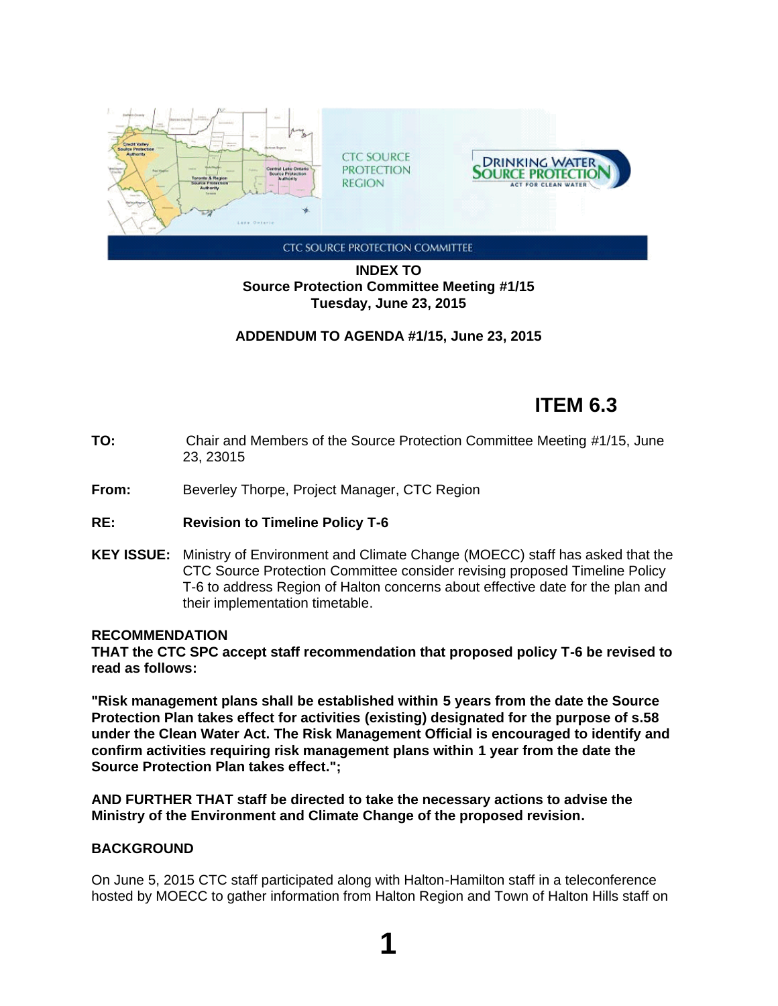

# **INDEX TO Source Protection Committee Meeting #1/15 Tuesday, June 23, 2015**

**ADDENDUM TO AGENDA #1/15, June 23, 2015**

# **ITEM 6.3**

- **TO:** Chair and Members of the Source Protection Committee Meeting #1/15, June 23, 23015
- **From:** Beverley Thorpe, Project Manager, CTC Region
- **RE: Revision to Timeline Policy T-6**
- **KEY ISSUE:** Ministry of Environment and Climate Change (MOECC) staff has asked that the CTC Source Protection Committee consider revising proposed Timeline Policy T-6 to address Region of Halton concerns about effective date for the plan and their implementation timetable.

## **RECOMMENDATION**

**THAT the CTC SPC accept staff recommendation that proposed policy T-6 be revised to read as follows:**

**"Risk management plans shall be established within 5 years from the date the Source Protection Plan takes effect for activities (existing) designated for the purpose of s.58 under the Clean Water Act. The Risk Management Official is encouraged to identify and confirm activities requiring risk management plans within 1 year from the date the Source Protection Plan takes effect.";**

**AND FURTHER THAT staff be directed to take the necessary actions to advise the Ministry of the Environment and Climate Change of the proposed revision.**

## **BACKGROUND**

On June 5, 2015 CTC staff participated along with Halton-Hamilton staff in a teleconference hosted by MOECC to gather information from Halton Region and Town of Halton Hills staff on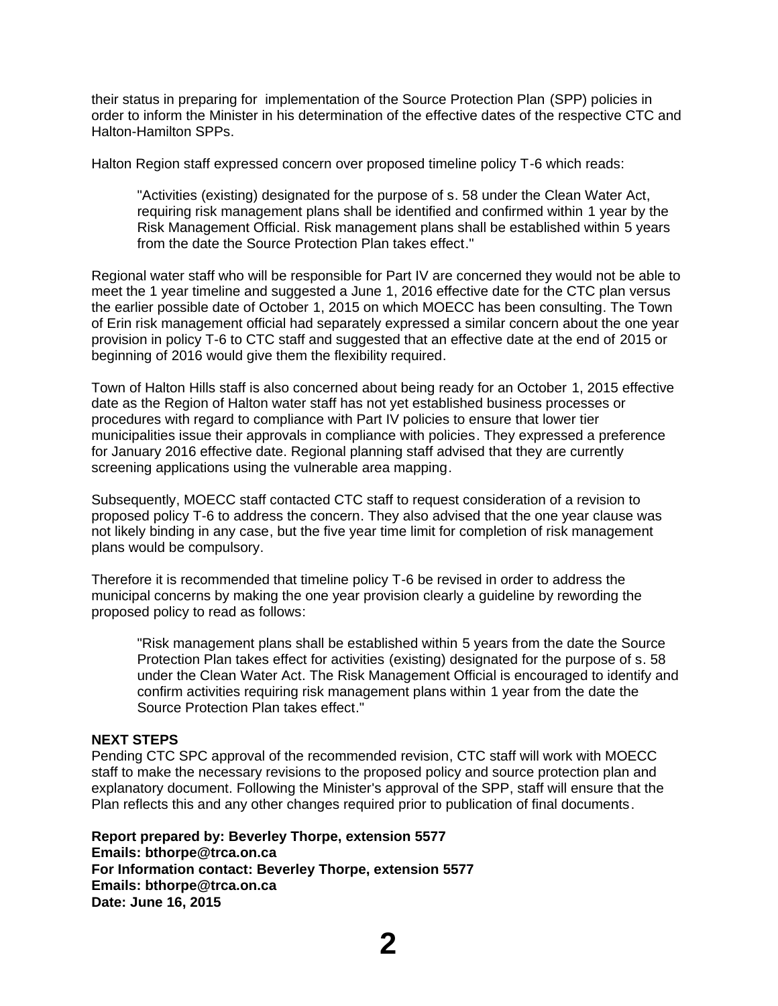their status in preparing for implementation of the Source Protection Plan (SPP) policies in order to inform the Minister in his determination of the effective dates of the respective CTC and Halton-Hamilton SPPs.

Halton Region staff expressed concern over proposed timeline policy T-6 which reads:

"Activities (existing) designated for the purpose of s. 58 under the Clean Water Act, requiring risk management plans shall be identified and confirmed within 1 year by the Risk Management Official. Risk management plans shall be established within 5 years from the date the Source Protection Plan takes effect."

Regional water staff who will be responsible for Part IV are concerned they would not be able to meet the 1 year timeline and suggested a June 1, 2016 effective date for the CTC plan versus the earlier possible date of October 1, 2015 on which MOECC has been consulting. The Town of Erin risk management official had separately expressed a similar concern about the one year provision in policy T-6 to CTC staff and suggested that an effective date at the end of 2015 or beginning of 2016 would give them the flexibility required.

Town of Halton Hills staff is also concerned about being ready for an October 1, 2015 effective date as the Region of Halton water staff has not yet established business processes or procedures with regard to compliance with Part IV policies to ensure that lower tier municipalities issue their approvals in compliance with policies. They expressed a preference for January 2016 effective date. Regional planning staff advised that they are currently screening applications using the vulnerable area mapping.

Subsequently, MOECC staff contacted CTC staff to request consideration of a revision to proposed policy T-6 to address the concern. They also advised that the one year clause was not likely binding in any case, but the five year time limit for completion of risk management plans would be compulsory.

Therefore it is recommended that timeline policy T-6 be revised in order to address the municipal concerns by making the one year provision clearly a guideline by rewording the proposed policy to read as follows:

"Risk management plans shall be established within 5 years from the date the Source Protection Plan takes effect for activities (existing) designated for the purpose of s. 58 under the Clean Water Act. The Risk Management Official is encouraged to identify and confirm activities requiring risk management plans within 1 year from the date the Source Protection Plan takes effect."

#### **NEXT STEPS**

Pending CTC SPC approval of the recommended revision, CTC staff will work with MOECC staff to make the necessary revisions to the proposed policy and source protection plan and explanatory document. Following the Minister's approval of the SPP, staff will ensure that the Plan reflects this and any other changes required prior to publication of final documents.

**Report prepared by: Beverley Thorpe, extension 5577 Emails: bthorpe@trca.on.ca For Information contact: Beverley Thorpe, extension 5577 Emails: bthorpe@trca.on.ca Date: June 16, 2015**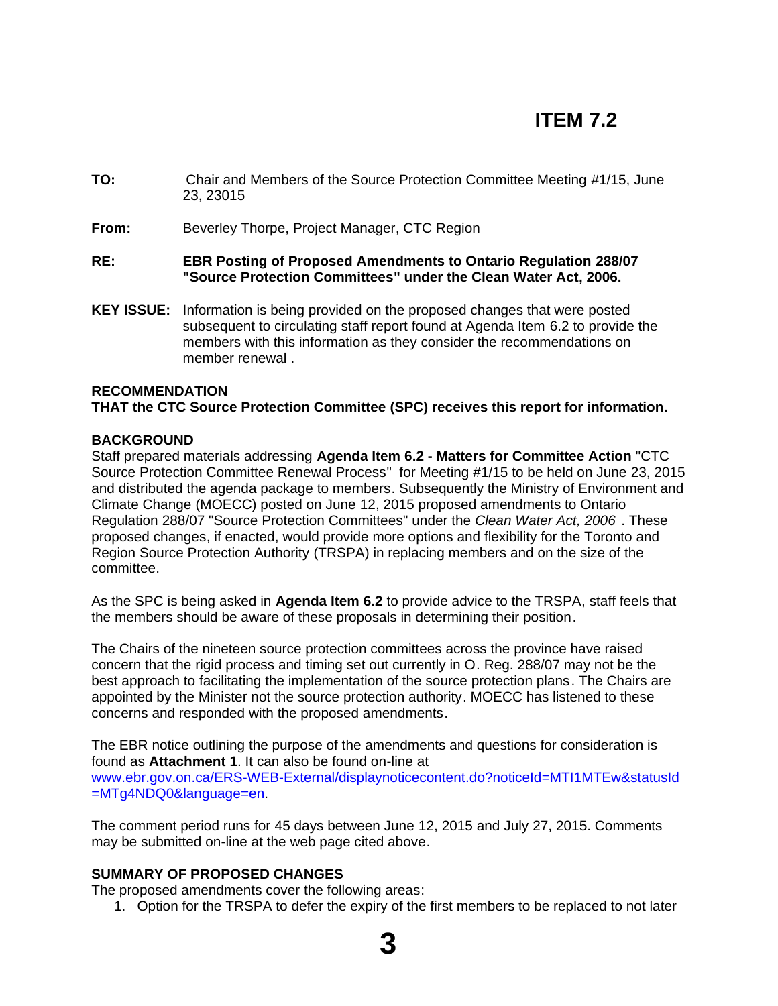# **ITEM 7.2**

- **TO:** Chair and Members of the Source Protection Committee Meeting #1/15, June 23, 23015
- **From:** Beverley Thorpe, Project Manager, CTC Region
- **RE: EBR Posting of Proposed Amendments to Ontario Regulation 288/07 "Source Protection Committees" under the Clean Water Act, 2006.**
- **KEY ISSUE:** Information is being provided on the proposed changes that were posted subsequent to circulating staff report found at Agenda Item 6.2 to provide the members with this information as they consider the recommendations on member renewal .

#### **RECOMMENDATION**

#### **THAT the CTC Source Protection Committee (SPC) receives this report for information.**

#### **BACKGROUND**

Staff prepared materials addressing **Agenda Item 6.2 - Matters for Committee Action** "CTC Source Protection Committee Renewal Process" for Meeting #1/15 to be held on June 23, 2015 and distributed the agenda package to members. Subsequently the Ministry of Environment and Climate Change (MOECC) posted on June 12, 2015 proposed amendments to Ontario Regulation 288/07 "Source Protection Committees" under the *Clean Water Act, 2006* . These proposed changes, if enacted, would provide more options and flexibility for the Toronto and Region Source Protection Authority (TRSPA) in replacing members and on the size of the committee.

As the SPC is being asked in **Agenda Item 6.2** to provide advice to the TRSPA, staff feels that the members should be aware of these proposals in determining their position.

The Chairs of the nineteen source protection committees across the province have raised concern that the rigid process and timing set out currently in O. Reg. 288/07 may not be the best approach to facilitating the implementation of the source protection plans. The Chairs are appointed by the Minister not the source protection authority. MOECC has listened to these concerns and responded with the proposed amendments.

The EBR notice outlining the purpose of the amendments and questions for consideration is found as **Attachment 1**. It can also be found on-line at www.ebr.gov.on.ca/ERS-WEB-External/displaynoticecontent.do?noticeId=MTI1MTEw&statusId =MTg4NDQ0&language=en.

The comment period runs for 45 days between June 12, 2015 and July 27, 2015. Comments may be submitted on-line at the web page cited above.

## **SUMMARY OF PROPOSED CHANGES**

The proposed amendments cover the following areas:

1. Option for the TRSPA to defer the expiry of the first members to be replaced to not later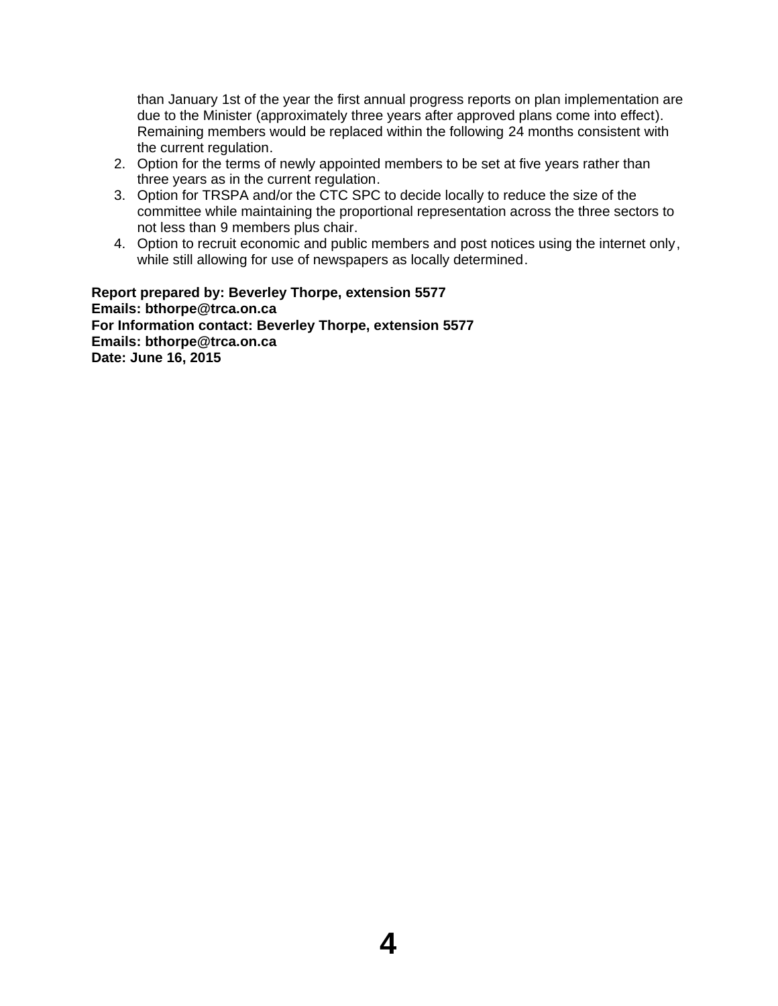than January 1st of the year the first annual progress reports on plan implementation are due to the Minister (approximately three years after approved plans come into effect). Remaining members would be replaced within the following 24 months consistent with the current regulation.

- 2. Option for the terms of newly appointed members to be set at five years rather than three years as in the current regulation.
- 3. Option for TRSPA and/or the CTC SPC to decide locally to reduce the size of the committee while maintaining the proportional representation across the three sectors to not less than 9 members plus chair.
- 4. Option to recruit economic and public members and post notices using the internet only, while still allowing for use of newspapers as locally determined.

**Report prepared by: Beverley Thorpe, extension 5577 Emails: bthorpe@trca.on.ca For Information contact: Beverley Thorpe, extension 5577 Emails: bthorpe@trca.on.ca Date: June 16, 2015**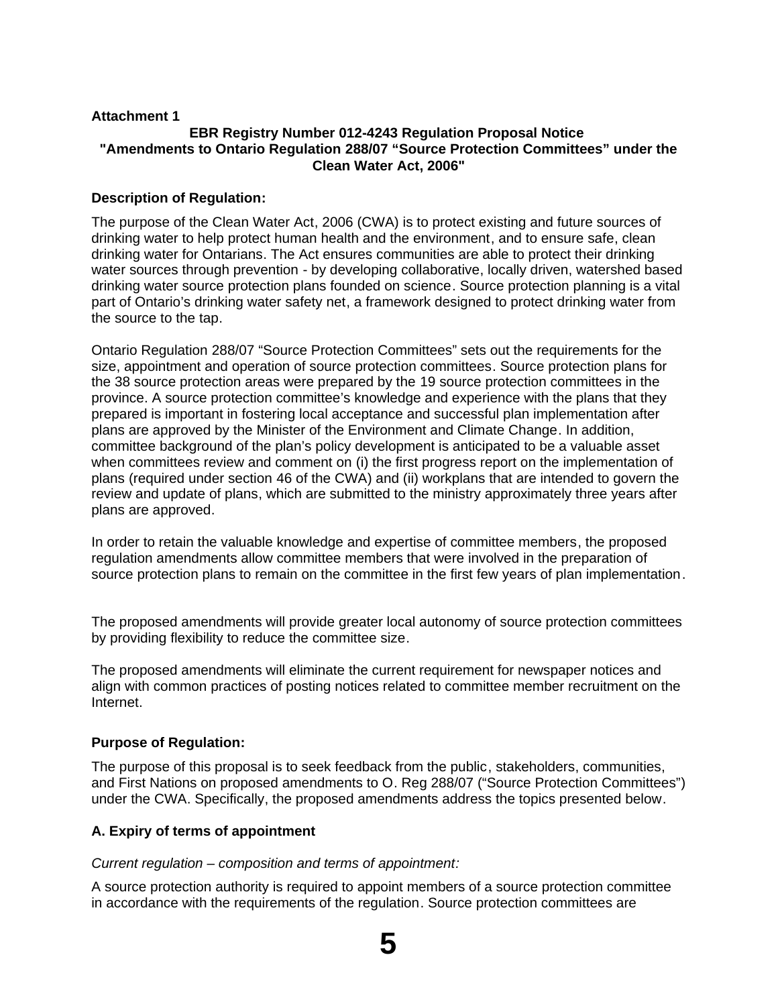## **Attachment 1**

## **EBR Registry Number 012-4243 Regulation Proposal Notice "Amendments to Ontario Regulation 288/07 "Source Protection Committees" under the Clean Water Act, 2006"**

## **Description of Regulation:**

The purpose of the Clean Water Act, 2006 (CWA) is to protect existing and future sources of drinking water to help protect human health and the environment, and to ensure safe, clean drinking water for Ontarians. The Act ensures communities are able to protect their drinking water sources through prevention - by developing collaborative, locally driven, watershed based drinking water source protection plans founded on science. Source protection planning is a vital part of Ontario's drinking water safety net, a framework designed to protect drinking water from the source to the tap.

Ontario Regulation 288/07 "Source Protection Committees" sets out the requirements for the size, appointment and operation of source protection committees. Source protection plans for the 38 source protection areas were prepared by the 19 source protection committees in the province. A source protection committee's knowledge and experience with the plans that they prepared is important in fostering local acceptance and successful plan implementation after plans are approved by the Minister of the Environment and Climate Change. In addition, committee background of the plan's policy development is anticipated to be a valuable asset when committees review and comment on (i) the first progress report on the implementation of plans (required under section 46 of the CWA) and (ii) workplans that are intended to govern the review and update of plans, which are submitted to the ministry approximately three years after plans are approved.

In order to retain the valuable knowledge and expertise of committee members, the proposed regulation amendments allow committee members that were involved in the preparation of source protection plans to remain on the committee in the first few years of plan implementation.

The proposed amendments will provide greater local autonomy of source protection committees by providing flexibility to reduce the committee size.

The proposed amendments will eliminate the current requirement for newspaper notices and align with common practices of posting notices related to committee member recruitment on the Internet.

## **Purpose of Regulation:**

The purpose of this proposal is to seek feedback from the public, stakeholders, communities, and First Nations on proposed amendments to O. Reg 288/07 ("Source Protection Committees") under the CWA. Specifically, the proposed amendments address the topics presented below.

## **A. Expiry of terms of appointment**

*Current regulation – composition and terms of appointment:*

A source protection authority is required to appoint members of a source protection committee in accordance with the requirements of the regulation. Source protection committees are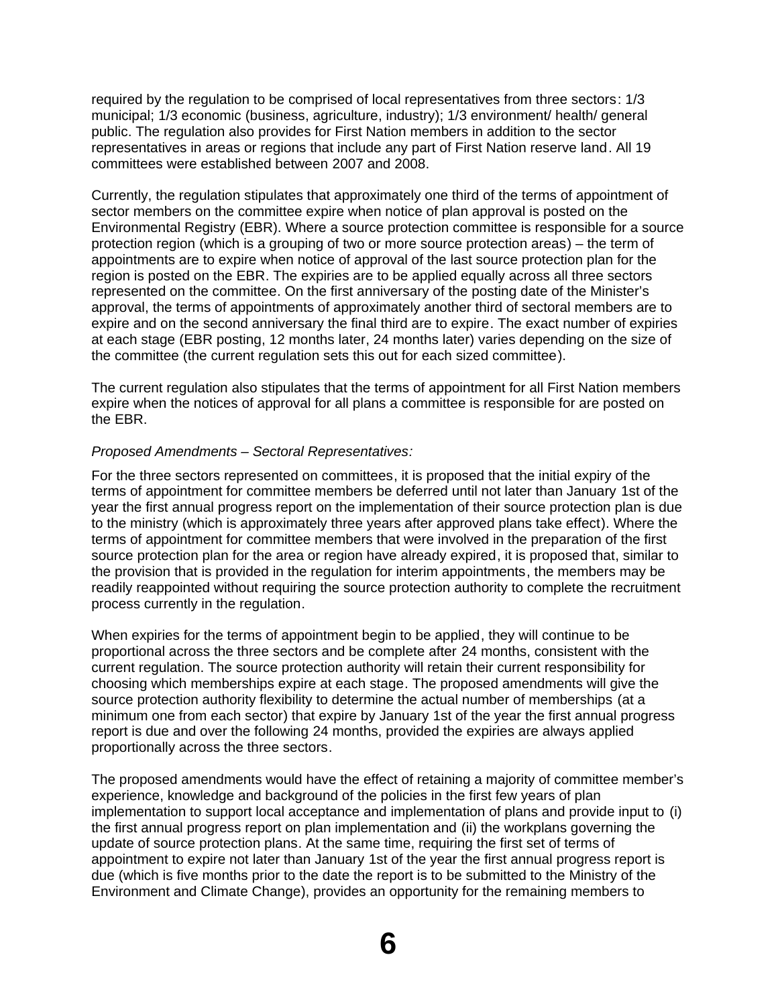required by the regulation to be comprised of local representatives from three sectors: 1/3 municipal; 1/3 economic (business, agriculture, industry); 1/3 environment/ health/ general public. The regulation also provides for First Nation members in addition to the sector representatives in areas or regions that include any part of First Nation reserve land. All 19 committees were established between 2007 and 2008.

Currently, the regulation stipulates that approximately one third of the terms of appointment of sector members on the committee expire when notice of plan approval is posted on the Environmental Registry (EBR). Where a source protection committee is responsible for a source protection region (which is a grouping of two or more source protection areas) – the term of appointments are to expire when notice of approval of the last source protection plan for the region is posted on the EBR. The expiries are to be applied equally across all three sectors represented on the committee. On the first anniversary of the posting date of the Minister's approval, the terms of appointments of approximately another third of sectoral members are to expire and on the second anniversary the final third are to expire. The exact number of expiries at each stage (EBR posting, 12 months later, 24 months later) varies depending on the size of the committee (the current regulation sets this out for each sized committee).

The current regulation also stipulates that the terms of appointment for all First Nation members expire when the notices of approval for all plans a committee is responsible for are posted on the EBR.

#### *Proposed Amendments – Sectoral Representatives:*

For the three sectors represented on committees, it is proposed that the initial expiry of the terms of appointment for committee members be deferred until not later than January 1st of the year the first annual progress report on the implementation of their source protection plan is due to the ministry (which is approximately three years after approved plans take effect). Where the terms of appointment for committee members that were involved in the preparation of the first source protection plan for the area or region have already expired, it is proposed that, similar to the provision that is provided in the regulation for interim appointments, the members may be readily reappointed without requiring the source protection authority to complete the recruitment process currently in the regulation.

When expiries for the terms of appointment begin to be applied, they will continue to be proportional across the three sectors and be complete after 24 months, consistent with the current regulation. The source protection authority will retain their current responsibility for choosing which memberships expire at each stage. The proposed amendments will give the source protection authority flexibility to determine the actual number of memberships (at a minimum one from each sector) that expire by January 1st of the year the first annual progress report is due and over the following 24 months, provided the expiries are always applied proportionally across the three sectors.

The proposed amendments would have the effect of retaining a majority of committee member's experience, knowledge and background of the policies in the first few years of plan implementation to support local acceptance and implementation of plans and provide input to (i) the first annual progress report on plan implementation and (ii) the workplans governing the update of source protection plans. At the same time, requiring the first set of terms of appointment to expire not later than January 1st of the year the first annual progress report is due (which is five months prior to the date the report is to be submitted to the Ministry of the Environment and Climate Change), provides an opportunity for the remaining members to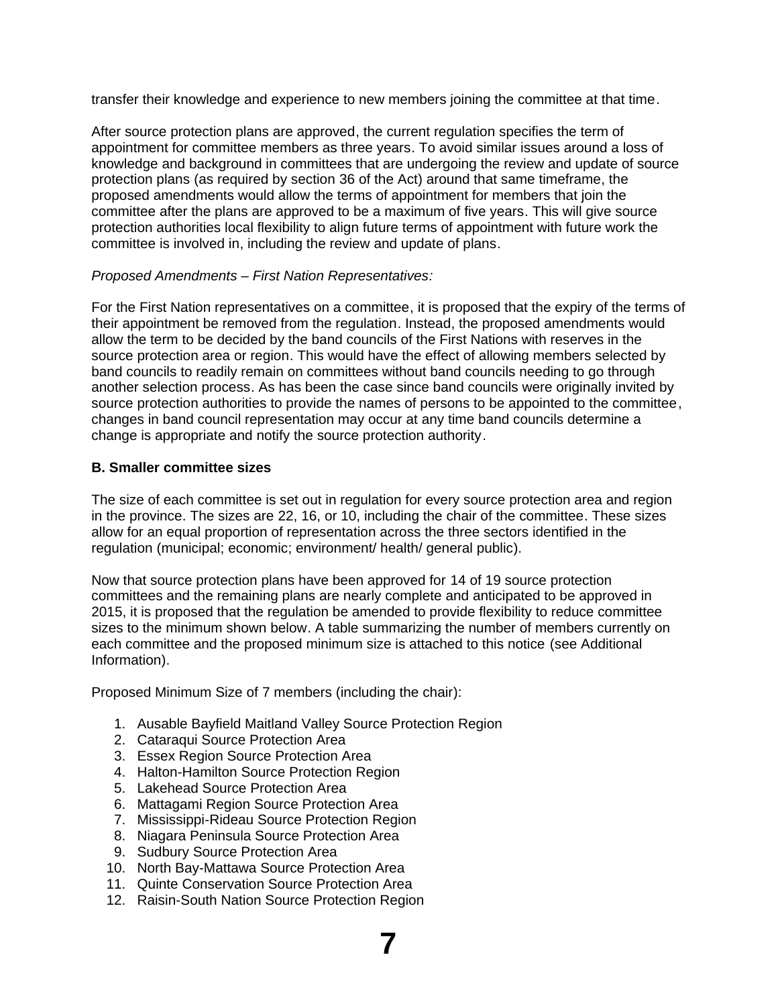transfer their knowledge and experience to new members joining the committee at that time.

After source protection plans are approved, the current regulation specifies the term of appointment for committee members as three years. To avoid similar issues around a loss of knowledge and background in committees that are undergoing the review and update of source protection plans (as required by section 36 of the Act) around that same timeframe, the proposed amendments would allow the terms of appointment for members that join the committee after the plans are approved to be a maximum of five years. This will give source protection authorities local flexibility to align future terms of appointment with future work the committee is involved in, including the review and update of plans.

## *Proposed Amendments – First Nation Representatives:*

For the First Nation representatives on a committee, it is proposed that the expiry of the terms of their appointment be removed from the regulation. Instead, the proposed amendments would allow the term to be decided by the band councils of the First Nations with reserves in the source protection area or region. This would have the effect of allowing members selected by band councils to readily remain on committees without band councils needing to go through another selection process. As has been the case since band councils were originally invited by source protection authorities to provide the names of persons to be appointed to the committee, changes in band council representation may occur at any time band councils determine a change is appropriate and notify the source protection authority.

## **B. Smaller committee sizes**

The size of each committee is set out in regulation for every source protection area and region in the province. The sizes are 22, 16, or 10, including the chair of the committee. These sizes allow for an equal proportion of representation across the three sectors identified in the regulation (municipal; economic; environment/ health/ general public).

Now that source protection plans have been approved for 14 of 19 source protection committees and the remaining plans are nearly complete and anticipated to be approved in 2015, it is proposed that the regulation be amended to provide flexibility to reduce committee sizes to the minimum shown below. A table summarizing the number of members currently on each committee and the proposed minimum size is attached to this notice (see Additional Information).

Proposed Minimum Size of 7 members (including the chair):

- 1. Ausable Bayfield Maitland Valley Source Protection Region
- 2. Cataraqui Source Protection Area
- 3. Essex Region Source Protection Area
- 4. Halton-Hamilton Source Protection Region
- 5. Lakehead Source Protection Area
- 6. Mattagami Region Source Protection Area
- 7. Mississippi-Rideau Source Protection Region
- 8. Niagara Peninsula Source Protection Area
- 9. Sudbury Source Protection Area
- 10. North Bay-Mattawa Source Protection Area
- 11. Quinte Conservation Source Protection Area
- 12. Raisin-South Nation Source Protection Region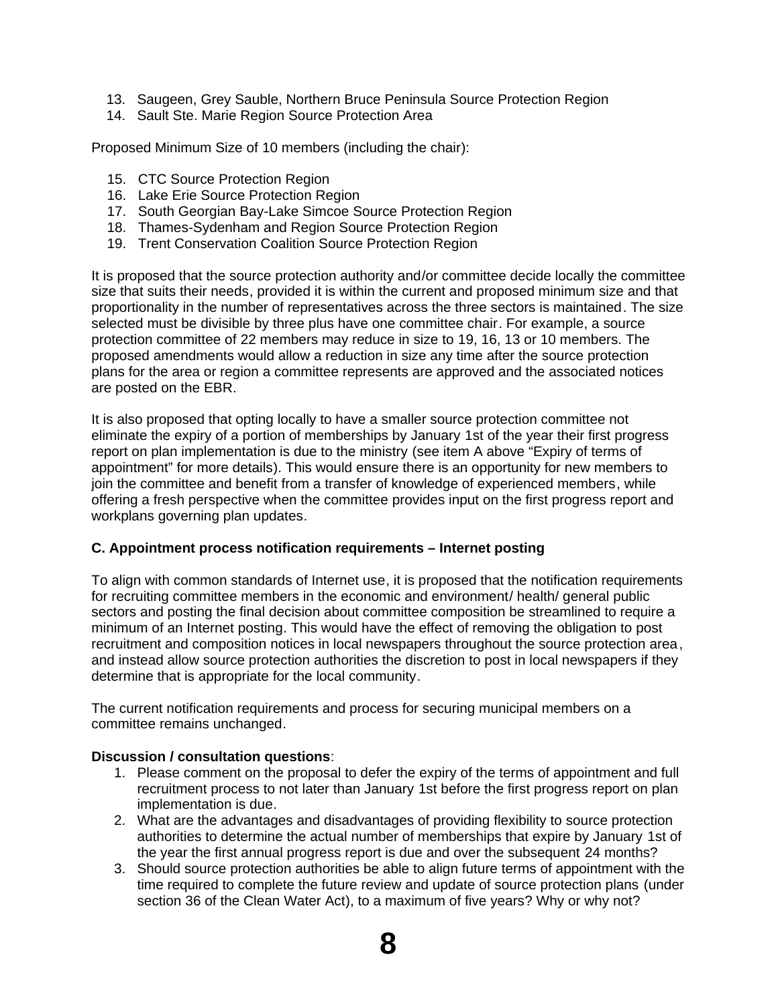- 13. Saugeen, Grey Sauble, Northern Bruce Peninsula Source Protection Region
- 14. Sault Ste. Marie Region Source Protection Area

Proposed Minimum Size of 10 members (including the chair):

- 15. CTC Source Protection Region
- 16. Lake Erie Source Protection Region
- 17. South Georgian Bay-Lake Simcoe Source Protection Region
- 18. Thames-Sydenham and Region Source Protection Region
- 19. Trent Conservation Coalition Source Protection Region

It is proposed that the source protection authority and/or committee decide locally the committee size that suits their needs, provided it is within the current and proposed minimum size and that proportionality in the number of representatives across the three sectors is maintained. The size selected must be divisible by three plus have one committee chair. For example, a source protection committee of 22 members may reduce in size to 19, 16, 13 or 10 members. The proposed amendments would allow a reduction in size any time after the source protection plans for the area or region a committee represents are approved and the associated notices are posted on the EBR.

It is also proposed that opting locally to have a smaller source protection committee not eliminate the expiry of a portion of memberships by January 1st of the year their first progress report on plan implementation is due to the ministry (see item A above "Expiry of terms of appointment" for more details). This would ensure there is an opportunity for new members to join the committee and benefit from a transfer of knowledge of experienced members, while offering a fresh perspective when the committee provides input on the first progress report and workplans governing plan updates.

## **C. Appointment process notification requirements – Internet posting**

To align with common standards of Internet use, it is proposed that the notification requirements for recruiting committee members in the economic and environment/ health/ general public sectors and posting the final decision about committee composition be streamlined to require a minimum of an Internet posting. This would have the effect of removing the obligation to post recruitment and composition notices in local newspapers throughout the source protection area, and instead allow source protection authorities the discretion to post in local newspapers if they determine that is appropriate for the local community.

The current notification requirements and process for securing municipal members on a committee remains unchanged.

## **Discussion / consultation questions**:

- 1. Please comment on the proposal to defer the expiry of the terms of appointment and full recruitment process to not later than January 1st before the first progress report on plan implementation is due.
- 2. What are the advantages and disadvantages of providing flexibility to source protection authorities to determine the actual number of memberships that expire by January 1st of the year the first annual progress report is due and over the subsequent 24 months?
- 3. Should source protection authorities be able to align future terms of appointment with the time required to complete the future review and update of source protection plans (under section 36 of the Clean Water Act), to a maximum of five years? Why or why not?